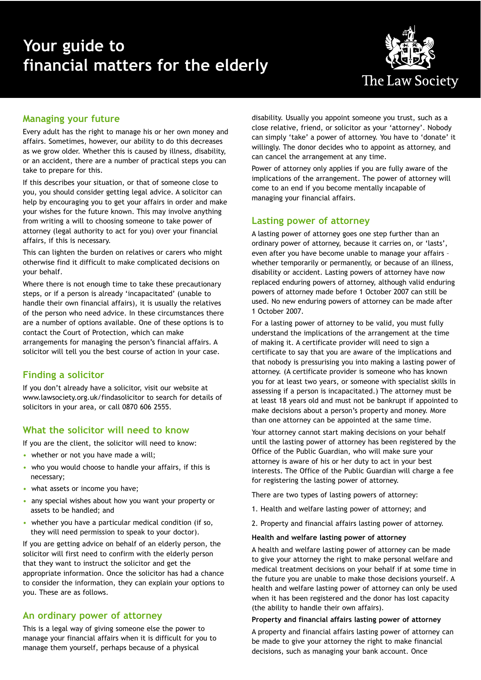# **Your guide to financial matters for the elderly**



## **Managing your future**

Every adult has the right to manage his or her own money and affairs. Sometimes, however, our ability to do this decreases as we grow older. Whether this is caused by illness, disability, or an accident, there are a number of practical steps you can take to prepare for this.

If this describes your situation, or that of someone close to you, you should consider getting legal advice. A solicitor can help by encouraging you to get your affairs in order and make your wishes for the future known. This may involve anything from writing a will to choosing someone to take power of attorney (legal authority to act for you) over your financial affairs, if this is necessary.

This can lighten the burden on relatives or carers who might otherwise find it difficult to make complicated decisions on your behalf.

Where there is not enough time to take these precautionary steps, or if a person is already 'incapacitated' (unable to handle their own financial affairs), it is usually the relatives of the person who need advice. In these circumstances there are a number of options available. One of these options is to contact the Court of Protection, which can make arrangements for managing the person's financial affairs. A solicitor will tell you the best course of action in your case.

## **Finding a solicitor**

If you don't already have a solicitor, visit our website at www.lawsociety.org.uk/findasolicitor to search for details of solicitors in your area, or call 0870 606 2555.

## **What the solicitor will need to know**

If you are the client, the solicitor will need to know:

- whether or not you have made a will;
- who you would choose to handle your affairs, if this is necessary;
- what assets or income you have;
- any special wishes about how you want your property or assets to be handled; and
- whether you have a particular medical condition (if so, they will need permission to speak to your doctor).

If you are getting advice on behalf of an elderly person, the solicitor will first need to confirm with the elderly person that they want to instruct the solicitor and get the appropriate information. Once the solicitor has had a chance to consider the information, they can explain your options to you. These are as follows.

## **An ordinary power of attorney**

This is a legal way of giving someone else the power to manage your financial affairs when it is difficult for you to manage them yourself, perhaps because of a physical

disability. Usually you appoint someone you trust, such as a close relative, friend, or solicitor as your 'attorney'. Nobody can simply 'take' a power of attorney. You have to 'donate' it willingly. The donor decides who to appoint as attorney, and can cancel the arrangement at any time.

Power of attorney only applies if you are fully aware of the implications of the arrangement. The power of attorney will come to an end if you become mentally incapable of managing your financial affairs.

### **Lasting power of attorney**

A lasting power of attorney goes one step further than an ordinary power of attorney, because it carries on, or 'lasts', even after you have become unable to manage your affairs – whether temporarily or permanently, or because of an illness, disability or accident. Lasting powers of attorney have now replaced enduring powers of attorney, although valid enduring powers of attorney made before 1 October 2007 can still be used. No new enduring powers of attorney can be made after 1 October 2007.

For a lasting power of attorney to be valid, you must fully understand the implications of the arrangement at the time of making it. A certificate provider will need to sign a certificate to say that you are aware of the implications and that nobody is pressurising you into making a lasting power of attorney. (A certificate provider is someone who has known you for at least two years, or someone with specialist skills in assessing if a person is incapacitated.) The attorney must be at least 18 years old and must not be bankrupt if appointed to make decisions about a person's property and money. More than one attorney can be appointed at the same time.

Your attorney cannot start making decisions on your behalf until the lasting power of attorney has been registered by the Office of the Public Guardian, who will make sure your attorney is aware of his or her duty to act in your best interests. The Office of the Public Guardian will charge a fee for registering the lasting power of attorney.

There are two types of lasting powers of attorney:

- 1. Health and welfare lasting power of attorney; and
- 2. Property and financial affairs lasting power of attorney.

#### **Health and welfare lasting power of attorney**

A health and welfare lasting power of attorney can be made to give your attorney the right to make personal welfare and medical treatment decisions on your behalf if at some time in the future you are unable to make those decisions yourself. A health and welfare lasting power of attorney can only be used when it has been registered and the donor has lost capacity (the ability to handle their own affairs).

#### **Property and financial affairs lasting power of attorney**

A property and financial affairs lasting power of attorney can be made to give your attorney the right to make financial decisions, such as managing your bank account. Once